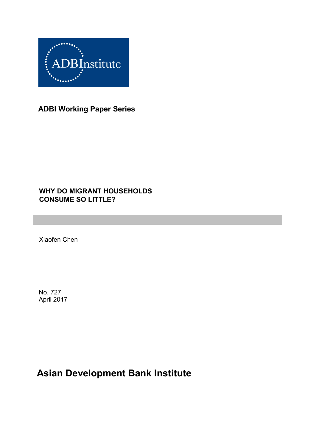

**ADBI Working Paper Series**

### **WHY DO MIGRANT HOUSEHOLDS CONSUME SO LITTLE?**

Xiaofen Chen

No. 727 April 2017

# **Asian Development Bank Institute**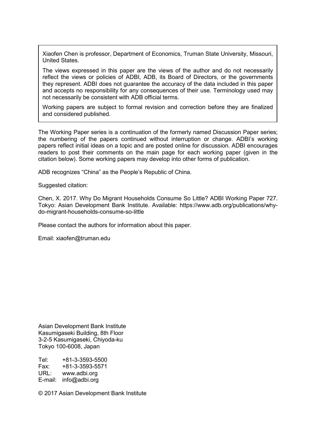Xiaofen Chen is professor, Department of Economics, Truman State University, Missouri, United States.

The views expressed in this paper are the views of the author and do not necessarily reflect the views or policies of ADBI, ADB, its Board of Directors, or the governments they represent. ADBI does not guarantee the accuracy of the data included in this paper and accepts no responsibility for any consequences of their use. Terminology used may not necessarily be consistent with ADB official terms.

Working papers are subject to formal revision and correction before they are finalized and considered published.

The Working Paper series is a continuation of the formerly named Discussion Paper series; the numbering of the papers continued without interruption or change. ADBI's working papers reflect initial ideas on a topic and are posted online for discussion. ADBI encourages readers to post their comments on the main page for each working paper (given in the citation below). Some working papers may develop into other forms of publication.

ADB recognizes "China" as the People's Republic of China.

Suggested citation:

Chen, X. 2017. Why Do Migrant Households Consume So Little? ADBI Working Paper 727. Tokyo: Asian Development Bank Institute. Available: https://www.adb.org/publications/whydo-migrant-households-consume-so-little

Please contact the authors for information about this paper.

Email: xiaofen@truman.edu

Asian Development Bank Institute Kasumigaseki Building, 8th Floor 3-2-5 Kasumigaseki, Chiyoda-ku Tokyo 100-6008, Japan

Tel: +81-3-3593-5500 Fax: +81-3-3593-5571 URL: www.adbi.org E-mail: info@adbi.org

© 2017 Asian Development Bank Institute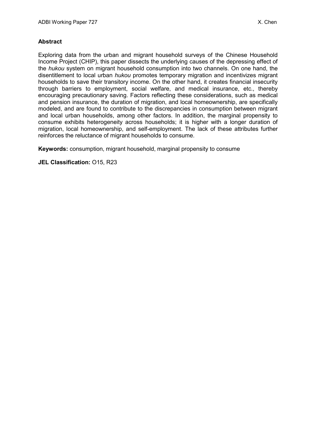#### **Abstract**

Exploring data from the urban and migrant household surveys of the Chinese Household Income Project (CHIP), this paper dissects the underlying causes of the depressing effect of the *hukou* system on migrant household consumption into two channels. On one hand, the disentitlement to local urban *hukou* promotes temporary migration and incentivizes migrant households to save their transitory income. On the other hand, it creates financial insecurity through barriers to employment, social welfare, and medical insurance, etc., thereby encouraging precautionary saving. Factors reflecting these considerations, such as medical and pension insurance, the duration of migration, and local homeownership, are specifically modeled, and are found to contribute to the discrepancies in consumption between migrant and local urban households, among other factors. In addition, the marginal propensity to consume exhibits heterogeneity across households; it is higher with a longer duration of migration, local homeownership, and self-employment. The lack of these attributes further reinforces the reluctance of migrant households to consume.

**Keywords:** consumption, migrant household, marginal propensity to consume

**JEL Classification:** O15, R23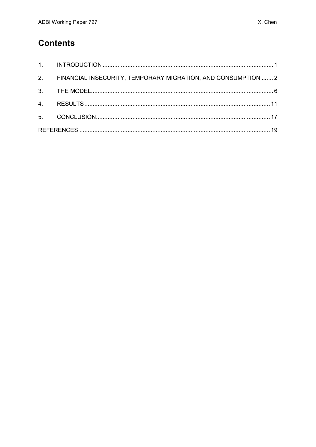## **Contents**

| 2. FINANCIAL INSECURITY, TEMPORARY MIGRATION, AND CONSUMPTION  2 |  |
|------------------------------------------------------------------|--|
|                                                                  |  |
|                                                                  |  |
|                                                                  |  |
|                                                                  |  |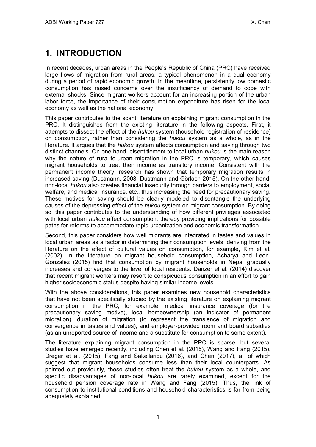# <span id="page-4-0"></span>**1. INTRODUCTION**

In recent decades, urban areas in the People's Republic of China (PRC) have received large flows of migration from rural areas, a typical phenomenon in a dual economy during a period of rapid economic growth. In the meantime, persistently low domestic consumption has raised concerns over the insufficiency of demand to cope with external shocks. Since migrant workers account for an increasing portion of the urban labor force, the importance of their consumption expenditure has risen for the local economy as well as the national economy.

This paper contributes to the scant literature on explaining migrant consumption in the PRC. It distinguishes from the existing literature in the following aspects. First, it attempts to dissect the effect of the *hukou* system (household registration of residence) on consumption, rather than considering the *hukou* system as a whole, as in the literature. It argues that the *hukou* system affects consumption and saving through two distinct channels. On one hand, disentitlement to local urban *hukou* is the main reason why the nature of rural-to-urban migration in the PRC is temporary, which causes migrant households to treat their income as transitory income. Consistent with the permanent income theory, research has shown that temporary migration results in increased saving (Dustmann, 2003; Dustmann and Görlach 2015). On the other hand, non-local *hukou* also creates financial insecurity through barriers to employment, social welfare, and medical insurance, etc., thus increasing the need for precautionary saving. These motives for saving should be clearly modeled to disentangle the underlying causes of the depressing effect of the *hukou* system on migrant consumption*.* By doing so, this paper contributes to the understanding of how different privileges associated with local urban *hukou* affect consumption, thereby providing implications for possible paths for reforms to accommodate rapid urbanization and economic transformation.

Second, this paper considers how well migrants are integrated in tastes and values in local urban areas as a factor in determining their consumption levels, deriving from the literature on the effect of cultural values on consumption, for example, Kim et al. (2002). In the literature on migrant household consumption, Acharya and Leon-Gonzalez (2015) find that consumption by migrant households in Nepal gradually increases and converges to the level of local residents. Danzer et al. (2014) discover that recent migrant workers may resort to conspicuous consumption in an effort to gain higher socioeconomic status despite having similar income levels.

With the above considerations, this paper examines new household characteristics that have not been specifically studied by the existing literature on explaining migrant consumption in the PRC, for example, medical insurance coverage (for the precautionary saving motive), local homeownership (an indicator of permanent migration), duration of migration (to represent the transience of migration and convergence in tastes and values), and employer-provided room and board subsidies (as an unreported source of income and a substitute for consumption to some extent).

The literature explaining migrant consumption in the PRC is sparse, but several studies have emerged recently, including Chen et al. (2015), Wang and Fang (2015), Dreger et al. (2015), Fang and Sakellariou (2016), and Chen (2017), all of which suggest that migrant households consume less than their local counterparts. As pointed out previously, these studies often treat the *hukou* system as a whole, and specific disadvantages of non-local *hukou* are rarely examined, except for the household pension coverage rate in Wang and Fang (2015). Thus, the link of consumption to institutional conditions and household characteristics is far from being adequately explained.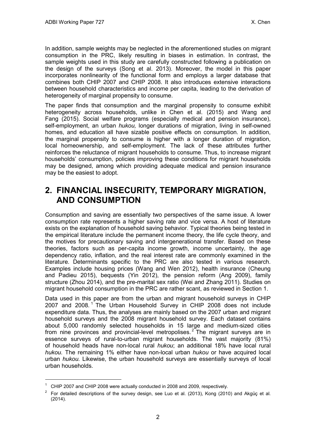In addition, sample weights may be neglected in the aforementioned studies on migrant consumption in the PRC, likely resulting in biases in estimation. In contrast, the sample weights used in this study are carefully constructed following a publication on the design of the surveys (Song et al. 2013). Moreover, the model in this paper incorporates nonlinearity of the functional form and employs a larger database that combines both CHIP 2007 and CHIP 2008. It also introduces extensive interactions between household characteristics and income per capita, leading to the derivation of heterogeneity of marginal propensity to consume.

The paper finds that consumption and the marginal propensity to consume exhibit heterogeneity across households, unlike in Chen et al. (2015) and Wang and Fang (2015). Social welfare programs (especially medical and pension insurance), self-employment, an urban *hukou,* longer durations of migration, living in self-owned homes, and education all have sizable positive effects on consumption. In addition, the marginal propensity to consume is higher with a longer duration of migration, local homeownership, and self-employment. The lack of these attributes further reinforces the reluctance of migrant households to consume. Thus, to increase migrant households' consumption, policies improving these conditions for migrant households may be designed, among which providing adequate medical and pension insurance may be the easiest to adopt.

## <span id="page-5-0"></span>**2. FINANCIAL INSECURITY, TEMPORARY MIGRATION, AND CONSUMPTION**

Consumption and saving are essentially two perspectives of the same issue. A lower consumption rate represents a higher saving rate and vice versa. A host of literature exists on the explanation of household saving behavior. Typical theories being tested in the empirical literature include the permanent income theory, the life cycle theory, and the motives for precautionary saving and intergenerational transfer. Based on these theories, factors such as per-capita income growth, income uncertainty, the age dependency ratio, inflation, and the real interest rate are commonly examined in the literature. Determinants specific to the PRC are also tested in various research. Examples include housing prices (Wang and Wen 2012), health insurance (Cheung and Padieu 2015), bequests (Yin 2012), the pension reform (Ang 2009), family structure (Zhou 2014), and the pre-marital sex ratio (Wei and Zhang 2011). Studies on migrant household consumption in the PRC are rather scant, as reviewed in Section 1.

Data used in this paper are from the urban and migrant household surveys in CHIP 2007 and 2008.<sup>[1](#page-5-1)</sup> The Urban Household Survey in CHIP 2008 does not include expenditure data. Thus, the analyses are mainly based on the 2007 urban and migrant household surveys and the 2008 migrant household survey. Each dataset contains about 5,000 randomly selected households in 15 large and medium-sized cities from nine provinces and provincial-level metropolises.<sup>[2](#page-5-2)</sup> The migrant surveys are in essence surveys of rural-to-urban migrant households. The vast majority (81%) of household heads have non-local rural *hukou*; an additional 18% have local rural *hukou.* The remaining 1% either have non-local urban *hukou* or have acquired local urban *hukou.* Likewise, the urban household surveys are essentially surveys of local urban households.

 $\overline{a}$ 

<span id="page-5-1"></span> $1$  CHIP 2007 and CHIP 2008 were actually conducted in 2008 and 2009, respectively.

<span id="page-5-2"></span> $2$  For detailed descriptions of the survey design, see Luo et al. (2013), Kong (2010) and Akgüç et al. (2014).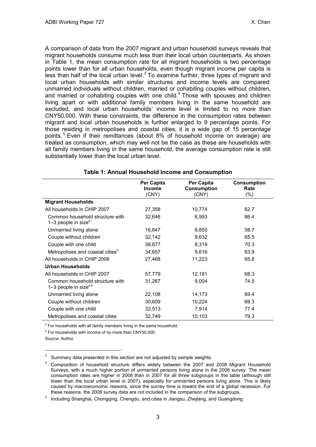A comparison of data from the 2007 migrant and urban household surveys reveals that migrant households consume much less than their local urban counterparts. As shown in Table 1, the mean consumption rate for all migrant households is two percentage points lower than for all urban households, even though migrant income per capita is less than half of the local urban level. $3$  To examine further, three types of migrant and local urban households with similar structures and income levels are compared: unmarried individuals without children, married or cohabiting couples without children, and married or cohabiting couples with one child.<sup>[4](#page-6-1)</sup> Those with spouses and children living apart or with additional family members living in the same household are excluded, and local urban households' income level is limited to no more than CNY50,000. With these constraints, the difference in the consumption rates between migrant and local urban households is further enlarged to 9 percentage points. For those residing in metropolises and coastal cities, it is a wide gap of 15 percentage points. [5](#page-6-2) Even if their remittances (about 8% of household income on average) are treated as consumption, which may well not be the case as these are households with all family members living in the same household, the average consumption rate is still substantially lower than the local urban level.

|                                                                      | Per Capita<br><b>Income</b><br>(CNY) | Per Capita<br><b>Consumption</b><br>(CNY) | <b>Consumption</b><br>Rate<br>$(\% )$ |
|----------------------------------------------------------------------|--------------------------------------|-------------------------------------------|---------------------------------------|
| <b>Migrant Households</b>                                            |                                      |                                           |                                       |
| All households in CHIP 2007                                          | 27,358                               | 10,774                                    | 62.7                                  |
| Common household structure with<br>$1-3$ people in size <sup>a</sup> | 32,646                               | 8,993                                     | 66.4                                  |
| Unmarried living alone                                               | 16,847                               | 9,850                                     | 58.7                                  |
| Couple without children                                              | 32,142                               | 9,632                                     | 65.5                                  |
| Couple with one child                                                | 39,877                               | 8,319                                     | 70.3                                  |
| Metropolises and coastal cities <sup>b</sup>                         | 34,657                               | 9,616                                     | 63.9                                  |
| All households in CHIP 2008                                          | 27,468                               | 11,223                                    | 65.8                                  |
| <b>Urban Households</b>                                              |                                      |                                           |                                       |
| All households in CHIP 2007                                          | 57,779                               | 12,181                                    | 68.3                                  |
| Common household structure with<br>1–3 people in size $a,b$          | 31,267                               | 9,004                                     | 74.5                                  |
| Unmarried living alone                                               | 22,108                               | 14,173                                    | 69.4                                  |
| Couple without children                                              | 30,609                               | 10,224                                    | 69.3                                  |
| Couple with one child                                                | 32,513                               | 7,914                                     | 77.4                                  |
| Metropolises and coastal cities                                      | 32,749                               | 10,103                                    | 79.3                                  |

#### **Table 1: Annual Household Income and Consumption**

<sup>a</sup> For households with all family members living in the same household.

 $b$  For households with income of no more than CNY50,000.

Source: Author.

 $\overline{a}$ 

<span id="page-6-1"></span><span id="page-6-0"></span>

 $3$  Summary data presented in this section are not adjusted by sample weights.<br>4 Composition of household structure differs widely between the 2007 and 2008 Migrant Household Surveys, with a much higher portion of unmarried persons living alone in the 2008 survey. The mean consumption rates are higher in 2008 than in 2007 for all three subgroups in the table (although still lower than the local urban level in 2007), especially for unmarried persons living alone. This is likely caused by macroeconomic reasons, since the survey time is toward the end of a global recession. For these reasons, the 2008 survey data are not included in the comparison of the subgroups.

<span id="page-6-2"></span><sup>5</sup> Including Shanghai, Chongqing, Chengdu, and cities in Jiangsu, Zhejiang, and Guangdong.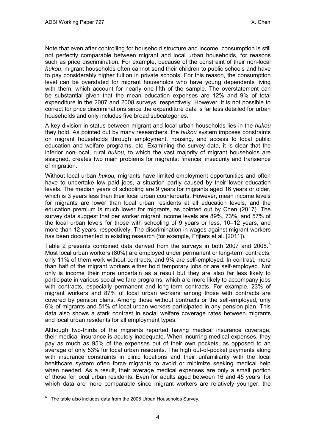Note that even after controlling for household structure and income, consumption is still not perfectly comparable between migrant and local urban households, for reasons such as price discrimination. For example, because of the constraint of their non-local *hukou*, migrant households often cannot send their children to public schools and have to pay considerably higher tuition in private schools. For this reason, the consumption level can be overstated for migrant households who have young dependents living with them, which account for nearly one-fifth of the sample. The overstatement can be substantial given that the mean education expenses are 12% and 9% of total expenditure in the 2007 and 2008 surveys, respectively. However, it is not possible to correct for price discriminations since the expenditure data is far less detailed for urban households and only includes five broad subcategories.

A key division in status between migrant and local urban households lies in the *hukou*  they hold. As pointed out by many researchers, the *hukou* system imposes constraints on migrant households through employment, housing, and access to local public education and welfare programs, etc. Examining the survey data, it is clear that the inferior non-local, rural *hukou,* to which the vast majority of migrant households are assigned, creates two main problems for migrants: financial insecurity and transience of migration.

Without local urban *hukou,* migrants have limited employment opportunities and often have to undertake low paid jobs, a situation partly caused by their lower education levels. The median years of schooling are 9 years for migrants aged 16 years or older, which is 3 years less than their local urban counterparts. However, mean income levels for migrants are lower than local urban residents at all education levels, and the education premium is much lower for migrants, as pointed out by Chen (2017). The survey data suggest that per worker migrant income levels are 89%, 73%, and 57% of the local urban levels for those with schooling of 9 years or less, 10–12 years, and more than 12 years, respectively. The discrimination in wages against migrant workers has been documented in existing research (for example, Frijters et al. [2011]).

Table 2 presents combined data derived from the surveys in both 2007 and 2008.<sup>[6](#page-7-0)</sup> Most local urban workers (80%) are employed under permanent or long-term contracts; only 11% of them work without contracts, and 9% are self-employed. In contrast, more than half of the migrant workers either hold temporary jobs or are self-employed. Not only is income their more uncertain as a result but they are also far less likely to participate in various social welfare programs, which are more likely to accompany jobs with contracts, especially permanent and long-term contracts. For example, 23% of migrant workers and 87% of local urban workers among those with contracts are covered by pension plans. Among those without contracts or the self-employed, only 6% of migrants and 51% of local urban workers participated in any pension plan. This data also shows a stark contrast in social welfare coverage rates between migrants and local urban residents for all employment types.

Although two-thirds of the migrants reported having medical insurance coverage, their medical insurance is acutely inadequate. When incurring medical expenses, they pay as much as 95% of the expenses out of their own pockets, as opposed to an average of only 53% for local urban residents. The high out-of-pocket payments along with insurance constraints in clinic locations and their unfamiliarity with the local healthcare system often force migrants to avoid or minimize seeking medical help when needed. As a result, their average medical expenses are only a small portion of those for local urban residents. Even for adults aged between 16 and 45 years, for which data are more comparable since migrant workers are relatively younger, the

 $\overline{a}$ 

<span id="page-7-0"></span> $6$  The table also includes data from the 2008 Urban Households Survey.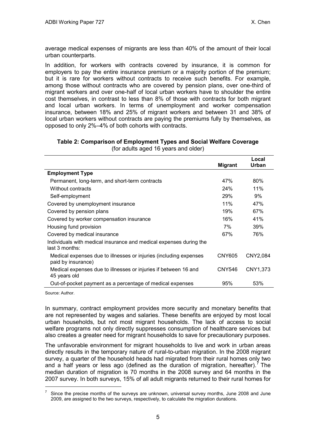average medical expenses of migrants are less than 40% of the amount of their local urban counterparts.

In addition, for workers with contracts covered by insurance, it is common for employers to pay the entire insurance premium or a majority portion of the premium; but it is rare for workers without contracts to receive such benefits. For example, among those without contracts who are covered by pension plans, over one-third of migrant workers and over one-half of local urban workers have to shoulder the entire cost themselves, in contrast to less than 8% of those with contracts for both migrant and local urban workers. In terms of unemployment and worker compensation insurance, between 18% and 25% of migrant workers and between 31 and 38% of local urban workers without contracts are paying the premiums fully by themselves, as opposed to only 2%–4% of both cohorts with contracts.

| Table 2: Comparison of Employment Types and Social Welfare Coverage |                                      |  |
|---------------------------------------------------------------------|--------------------------------------|--|
|                                                                     | (for adults aged 16 years and older) |  |

|                                                                                         |                | Local    |
|-----------------------------------------------------------------------------------------|----------------|----------|
|                                                                                         | <b>Migrant</b> | Urban    |
| <b>Employment Type</b>                                                                  |                |          |
| Permanent, long-term, and short-term contracts                                          | 47%            | 80%      |
| Without contracts                                                                       | 24%            | 11%      |
| Self-employment                                                                         | 29%            | 9%       |
| Covered by unemployment insurance                                                       | 11%            | 47%      |
| Covered by pension plans                                                                | 19%            | 67%      |
| Covered by worker compensation insurance                                                | 16%            | 41%      |
| Housing fund provision                                                                  | 7%             | 39%      |
| Covered by medical insurance                                                            | 67%            | 76%      |
| Individuals with medical insurance and medical expenses during the<br>last 3 months:    |                |          |
| Medical expenses due to illnesses or injuries (including expenses<br>paid by insurance) | CNY605         | CNY2,084 |
| Medical expenses due to illnesses or injuries if between 16 and<br>45 years old         | <b>CNY546</b>  | CNY1,373 |
| Out-of-pocket payment as a percentage of medical expenses                               | 95%            | 53%      |

Source: Author.

 $\overline{a}$ 

In summary, contract employment provides more security and monetary benefits that are not represented by wages and salaries. These benefits are enjoyed by most local urban households, but not most migrant households. The lack of access to social welfare programs not only directly suppresses consumption of healthcare services but also creates a greater need for migrant households to save for precautionary purposes.

The unfavorable environment for migrant households to live and work in urban areas directly results in the temporary nature of rural-to-urban migration. In the 2008 migrant survey, a quarter of the household heads had migrated from their rural homes only two and a half years or less ago (defined as the duration of migration, hereafter).<sup>[7](#page-8-0)</sup> The median duration of migration is 70 months in the 2008 survey and 64 months in the 2007 survey. In both surveys, 15% of all adult migrants returned to their rural homes for

<span id="page-8-0"></span><sup>7</sup> Since the precise months of the surveys are unknown, universal survey months, June 2008 and June 2009, are assigned to the two surveys, respectively, to calculate the migration durations.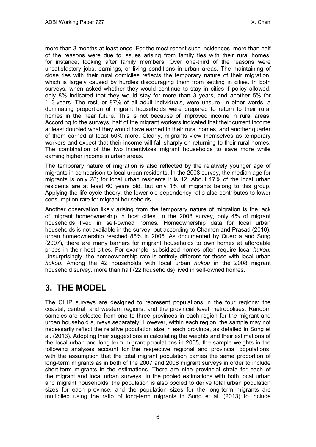more than 3 months at least once. For the most recent such incidences, more than half of the reasons were due to issues arising from family ties with their rural homes, for instance, looking after family members. Over one-third of the reasons were unsatisfactory jobs, earnings, or living conditions in urban areas. The maintaining of close ties with their rural domiciles reflects the temporary nature of their migration, which is largely caused by hurdles discouraging them from settling in cities. In both surveys, when asked whether they would continue to stay in cities if policy allowed, only 8% indicated that they would stay for more than 3 years, and another 5% for 1–3 years. The rest, or 87% of all adult individuals, were unsure. In other words, a dominating proportion of migrant households were prepared to return to their rural homes in the near future. This is not because of improved income in rural areas. According to the surveys, half of the migrant workers indicated that their current income at least doubled what they would have earned in their rural homes, and another quarter of them earned at least 50% more. Clearly, migrants view themselves as temporary workers and expect that their income will fall sharply on returning to their rural homes. The combination of the two incentivizes migrant households to save more while earning higher income in urban areas.

The temporary nature of migration is also reflected by the relatively younger age of migrants in comparison to local urban residents. In the 2008 survey, the median age for migrants is only 28; for local urban residents it is 42. About 17% of the local urban residents are at least 60 years old, but only 1% of migrants belong to this group. Applying the life cycle theory, the lower old dependency ratio also contributes to lower consumption rate for migrant households.

Another observation likely arising from the temporary nature of migration is the lack of migrant homeownership in host cities. In the 2008 survey, only 4% of migrant households lived in self-owned homes. Homeownership data for local urban households is not available in the survey, but according to Chamon and Prasad (2010), urban homeownership reached 86% in 2005. As documented by Quercia and Song (2007), there are many barriers for migrant households to own homes at affordable prices in their host cities. For example, subsidized homes often require local *hukou.*  Unsurprisingly, the homeownership rate is entirely different for those with local urban *hukou.* Among the 42 households with local urban *hukou* in the 2008 migrant household survey*,* more than half (22 households) lived in self-owned homes.

## <span id="page-9-0"></span>**3. THE MODEL**

The CHIP surveys are designed to represent populations in the four regions: the coastal, central, and western regions, and the provincial level metropolises. Random samples are selected from one to three provinces in each region for the migrant and urban household surveys separately. However, within each region, the sample may not necessarily reflect the relative population size in each province, as detailed in Song et al. (2013). Adopting their suggestions in calculating the weights and their estimations of the local urban and long-term migrant populations in 2005, the sample weights in the following analyses account for the respective regional and provincial populations, with the assumption that the total migrant population carries the same proportion of long-term migrants as in both of the 2007 and 2008 migrant surveys in order to include short-term migrants in the estimations. There are nine provincial strata for each of the migrant and local urban surveys. In the pooled estimations with both local urban and migrant households, the population is also pooled to derive total urban population sizes for each province, and the population sizes for the long-term migrants are multiplied using the ratio of long-term migrants in Song et al. (2013) to include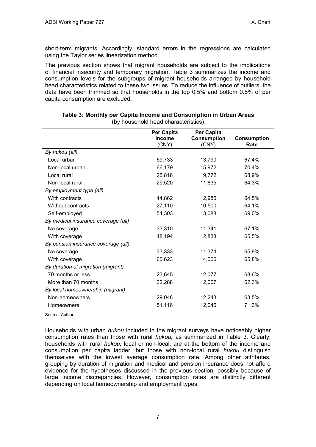short-term migrants. Accordingly, standard errors in the regressions are calculated using the Taylor series linearization method.

The previous section shows that migrant households are subject to the implications of financial insecurity and temporary migration. Table 3 summarizes the income and consumption levels for the subgroups of migrant households arranged by household head characteristics related to these two issues. To reduce the influence of outliers, the data have been trimmed so that households in the top 0.5% and bottom 0.5% of per capita consumption are excluded.

|                                     | Per Capita<br>Income<br>(CNY) | Per Capita<br><b>Consumption</b><br>(CNY) | <b>Consumption</b><br>Rate |
|-------------------------------------|-------------------------------|-------------------------------------------|----------------------------|
| By hukou (all)                      |                               |                                           |                            |
| Local urban                         | 69,733                        | 13,790                                    | 67.4%                      |
| Non-local urban                     | 66,179                        | 15,972                                    | 70.4%                      |
| Local rural                         | 25,818                        | 9,772                                     | 68.9%                      |
| Non-local rural                     | 29,520                        | 11,835                                    | 64.3%                      |
| By employment type (all)            |                               |                                           |                            |
| With contracts                      | 44,862                        | 12,985                                    | 64.5%                      |
| Without contracts                   | 27,110                        | 10,500                                    | 64.1%                      |
| Self-employed                       | 54,303                        | 13,088                                    | 69.0%                      |
| By medical insurance coverage (all) |                               |                                           |                            |
| No coverage                         | 33,310                        | 11,341                                    | 67.1%                      |
| With coverage                       | 48,194                        | 12,833                                    | 65.5%                      |
| By pension insurance coverage (all) |                               |                                           |                            |
| No coverage                         | 33,333                        | 11,374                                    | 65.9%                      |
| With coverage                       | 60,623                        | 14,006                                    | 65.8%                      |
| By duration of migration (migrant)  |                               |                                           |                            |
| 70 months or less                   | 23,645                        | 12,077                                    | 63.6%                      |
| More than 70 months                 | 32,288                        | 12,007                                    | 62.3%                      |
| By local homeownership (migrant)    |                               |                                           |                            |
| Non-homeowners                      | 29,048                        | 12,243                                    | 63.5%                      |
| Homeowners                          | 51,116                        | 12,046                                    | 71.3%                      |

#### **Table 3: Monthly per Capita Income and Consumption in Urban Areas** (by household head characteristics)

Source: Author.

Households with urban *hukou* included in the migrant surveys have noticeably higher consumption rates than those with rural *hukou,* as summarized in Table 3*.* Clearly, households with rural *hukou,* local or non-local, are at the bottom of the income and consumption per capita ladder; but those with non-local rural *hukou* distinguish themselves with the lowest average consumption rate. Among other attributes, grouping by duration of migration and medical and pension insurance does not afford evidence for the hypotheses discussed in the previous section, possibly because of large income discrepancies. However, consumption rates are distinctly different depending on local homeownership and employment types.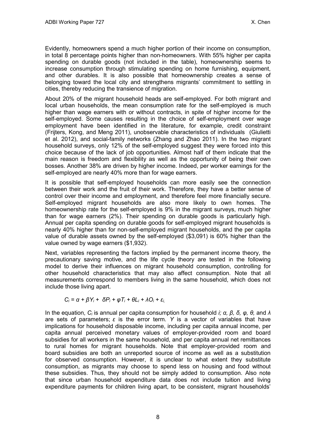Evidently, homeowners spend a much higher portion of their income on consumption, in total 8 percentage points higher than non-homeowners. With 55% higher per capita spending on durable goods (not included in the table), homeownership seems to increase consumption through stimulating spending on home furnishing, equipment, and other durables. It is also possible that homeownership creates a sense of belonging toward the local city and strengthens migrants' commitment to settling in cities, thereby reducing the transience of migration.

About 20% of the migrant household heads are self-employed. For both migrant and local urban households, the mean consumption rate for the self-employed is much higher than wage earners with or without contracts, in spite of higher income for the self-employed. Some causes resulting in the choice of self-employment over wage employment have been identified in the literature, for example, credit constraint (Frijters, Kong, and Meng 2011), unobservable characteristics of individuals (Giulietti et al. 2012), and social-family networks (Zhang and Zhao 2011). In the two migrant household surveys, only 12% of the self-employed suggest they were forced into this choice because of the lack of job opportunities. Almost half of them indicate that the main reason is freedom and flexibility as well as the opportunity of being their own bosses. Another 38% are driven by higher income. Indeed, per worker earnings for the self-employed are nearly 40% more than for wage earners.

It is possible that self-employed households can more easily see the connection between their work and the fruit of their work. Therefore, they have a better sense of control over their income and employment, and therefore feel more financially secure. Self-employed migrant households are also more likely to own homes. The homeownership rate for the self-employed is 9% in the migrant surveys, much higher than for wage earners (2%). Their spending on durable goods is particularly high. Annual per capita spending on durable goods for self-employed migrant households is nearly 40% higher than for non-self-employed migrant households, and the per capita value of durable assets owned by the self-employed (\$3,091) is 60% higher than the value owned by wage earners (\$1,932).

Next, variables representing the factors implied by the permanent income theory, the precautionary saving motive, and the life cycle theory are tested in the following model to derive their influences on migrant household consumption, controlling for other household characteristics that may also affect consumption. Note that all measurements correspond to members living in the same household, which does not include those living apart.

$$
C_i = \alpha + \beta Y_i + \delta P_i + \varphi T_i + \theta L_i + \lambda O_i + \varepsilon_{i,}
$$

In the equation, *Ci* is annual per capita consumption for household *i; α, β, δ, φ, θ,* and *λ*  are sets of parameters; *ε* is the error term. *Y* is a vector of variables that have implications for household disposable income, including per capita annual income, per capita annual perceived monetary values of employer-provided room and board subsidies for all workers in the same household, and per capita annual net remittances to rural homes for migrant households. Note that employer-provided room and board subsidies are both an unreported source of income as well as a substitution for observed consumption. However, it is unclear to what extent they substitute consumption, as migrants may choose to spend less on housing and food without these subsidies. Thus, they should not be simply added to consumption. Also note that since urban household expenditure data does not include tuition and living expenditure payments for children living apart, to be consistent, migrant households'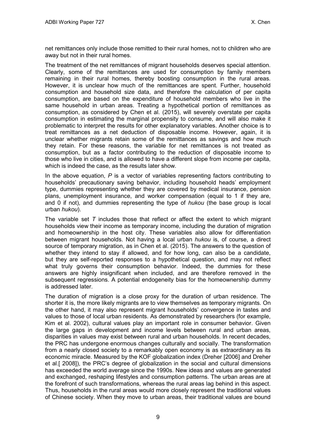net remittances only include those remitted to their rural homes, not to children who are away but not in their rural homes.

The treatment of the net remittances of migrant households deserves special attention. Clearly, some of the remittances are used for consumption by family members remaining in their rural homes, thereby boosting consumption in the rural areas. However, it is unclear how much of the remittances are spent. Further, household consumption and household size data, and therefore the calculation of per capita consumption, are based on the expenditure of household members who live in the same household in urban areas. Treating a hypothetical portion of remittances as consumption, as considered by Chen et al. (2015), will severely overstate per capita consumption in estimating the marginal propensity to consume, and will also make it problematic to interpret the results for other explanatory variables. Another choice is to treat remittances as a net deduction of disposable income. However, again, it is unclear whether migrants retain some of the remittances as savings and how much they retain. For these reasons, the variable for net remittances is not treated as consumption, but as a factor contributing to the reduction of disposable income to those who live in cities, and is allowed to have a different slope from income per capita, which is indeed the case, as the results later show.

In the above equation, *P* is a vector of variables representing factors contributing to households' precautionary saving behavior, including household heads' employment type, dummies representing whether they are covered by medical insurance, pension plans, unemployment insurance, and worker compensation (equal to 1 if they are, and 0 if not), and dummies representing the type of *hukou* (the base group is local urban *hukou*).

The variable set *T* includes those that reflect or affect the extent to which migrant households view their income as temporary income, including the duration of migration and homeownership in the host city. These variables also allow for differentiation between migrant households. Not having a local urban *hukou* is, of course, a direct source of temporary migration, as in Chen et al. (2015). The answers to the question of whether they intend to stay if allowed, and for how long, can also be a candidate, but they are self-reported responses to a hypothetical question, and may not reflect what truly governs their consumption behavior. Indeed, the dummies for these answers are highly insignificant when included, and are therefore removed in the subsequent regressions. A potential endogeneity bias for the homeownership dummy is addressed later.

The duration of migration is a close proxy for the duration of urban residence. The shorter it is, the more likely migrants are to view themselves as temporary migrants. On the other hand, it may also represent migrant households' convergence in tastes and values to those of local urban residents. As demonstrated by researchers (for example, Kim et al. 2002), cultural values play an important role in consumer behavior. Given the large gaps in development and income levels between rural and urban areas, disparities in values may exist between rural and urban households. In recent decades, the PRC has undergone enormous changes culturally and socially. The transformation from a nearly closed society to a remarkably open economy is as extraordinary as its economic miracle. Measured by the KOF globalization index (Dreher [2006] and Dreher et al.[ 2008]), the PRC's degree of globalization in the social and cultural dimensions has exceeded the world average since the 1990s. New ideas and values are generated and exchanged, reshaping lifestyles and consumption patterns. The urban areas are at the forefront of such transformations, whereas the rural areas lag behind in this aspect. Thus, households in the rural areas would more closely represent the traditional values of Chinese society. When they move to urban areas, their traditional values are bound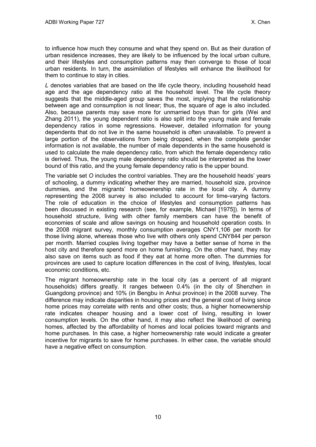to influence how much they consume and what they spend on. But as their duration of urban residence increases, they are likely to be influenced by the local urban culture, and their lifestyles and consumption patterns may then converge to those of local urban residents. In turn, the assimilation of lifestyles will enhance the likelihood for them to continue to stay in cities.

*L* denotes variables that are based on the life cycle theory, including household head age and the age dependency ratio at the household level. The life cycle theory suggests that the middle-aged group saves the most, implying that the relationship between age and consumption is not linear; thus, the square of age is also included. Also, because parents may save more for unmarried boys than for girls (Wei and Zhang 2011), the young dependent ratio is also split into the young male and female dependency ratios in some regressions. However, detailed information for young dependents that do not live in the same household is often unavailable. To prevent a large portion of the observations from being dropped, when the complete gender information is not available, the number of male dependents in the same household is used to calculate the male dependency ratio, from which the female dependency ratio is derived. Thus, the young male dependency ratio should be interpreted as the lower bound of this ratio, and the young female dependency ratio is the upper bound.

The variable set *O* includes the control variables. They are the household heads' years of schooling, a dummy indicating whether they are married, household size, province dummies, and the migrants' homeownership rate in the local city. A dummy representing the 2008 survey is also included to account for time-varying factors. The role of education in the choice of lifestyles and consumption patterns has been discussed in existing research (see, for example, Michael [1975]). In terms of household structure, living with other family members can have the benefit of economies of scale and allow savings on housing and household operation costs. In the 2008 migrant survey, monthly consumption averages CNY1,106 per month for those living alone, whereas those who live with others only spend CNY844 per person per month. Married couples living together may have a better sense of home in the host city and therefore spend more on home furnishing. On the other hand, they may also save on items such as food if they eat at home more often. The dummies for provinces are used to capture location differences in the cost of living, lifestyles, local economic conditions, etc.

The migrant homeownership rate in the local city (as a percent of all migrant households) differs greatly. It ranges between 0.4% (in the city of Shenzhen in Guangdong province) and 10% (in Bengbu in Anhui province) in the 2008 survey. The difference may indicate disparities in housing prices and the general cost of living since home prices may correlate with rents and other costs; thus, a higher homeownership rate indicates cheaper housing and a lower cost of living, resulting in lower consumption levels. On the other hand, it may also reflect the likelihood of owning homes, affected by the affordability of homes and local policies toward migrants and home purchases. In this case, a higher homeownership rate would indicate a greater incentive for migrants to save for home purchases. In either case, the variable should have a negative effect on consumption.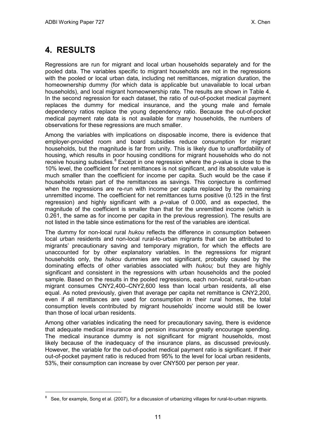# <span id="page-14-0"></span>**4. RESULTS**

 $\overline{a}$ 

Regressions are run for migrant and local urban households separately and for the pooled data. The variables specific to migrant households are not in the regressions with the pooled or local urban data, including net remittances, migration duration, the homeownership dummy (for which data is applicable but unavailable to local urban households), and local migrant homeownership rate. The results are shown in Table 4. In the second regression for each dataset, the ratio of out-of-pocket medical payment replaces the dummy for medical insurance, and the young male and female dependency ratios replace the young dependency ratio. Because the out-of-pocket medical payment rate data is not available for many households, the numbers of observations for these regressions are much smaller.

Among the variables with implications on disposable income, there is evidence that employer-provided room and board subsidies reduce consumption for migrant households, but the magnitude is far from unity. This is likely due to unaffordability of housing, which results in poor housing conditions for migrant households who do not receive housing subsidies.<sup>[8](#page-14-1)</sup> Except in one regression where the *p*-value is close to the 10% level, the coefficient for net remittances is not significant, and its absolute value is much smaller than the coefficient for income per capita. Such would be the case if households retain part of the remittances as savings. This conjecture is confirmed when the regressions are re-run with income per capita replaced by the remaining unremitted income. The coefficient for net remittances turns positive (0.125 in the first regression) and highly significant with a *p-*value of 0.000, and as expected, the magnitude of the coefficient is smaller than that for the unremitted income (which is 0.261, the same as for income per capita in the previous regression). The results are not listed in the table since estimations for the rest of the variables are identical.

The dummy for non-local rural *hukou* reflects the difference in consumption between local urban residents and non-local rural-to-urban migrants that can be attributed to migrants' precautionary saving and temporary migration, for which the effects are unaccounted for by other explanatory variables. In the regressions for migrant households only, the *hukou* dummies are not significant, probably caused by the dominating effects of other variables associated with *hukou;* but they are highly significant and consistent in the regressions with urban households and the pooled sample*.* Based on the results in the pooled regressions, each non-local, rural-to-urban migrant consumes CNY2,400–CNY2,600 less than local urban residents, all else equal. As noted previously, given that average per capita net remittance is CNY2,200, even if all remittances are used for consumption in their rural homes, the total consumption levels contributed by migrant households' income would still be lower than those of local urban residents.

Among other variables indicating the need for precautionary saving, there is evidence that adequate medical insurance and pension insurance greatly encourage spending. The medical insurance dummy is not significant for migrant households, most likely because of the inadequacy of the insurance plans, as discussed previously. However, the variable for the out-of-pocket medical payment ratio is significant. If their out-of-pocket payment ratio is reduced from 95% to the level for local urban residents, 53%, their consumption can increase by over CNY500 per person per year.

<span id="page-14-1"></span> $8$  See, for example, Song et al. (2007), for a discussion of urbanizing villages for rural-to-urban migrants.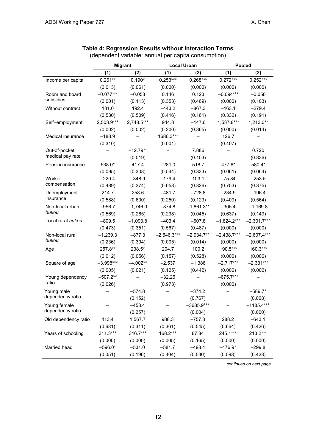|                      |             | <b>Migrant</b> | <b>Local Urban</b> |              |               | Pooled        |
|----------------------|-------------|----------------|--------------------|--------------|---------------|---------------|
|                      | (1)         | (2)            | (1)                | (2)          | (1)           | (2)           |
| Income per capita    | $0.261**$   | $0.190*$       | $0.253***$         | $0.268***$   | $0.272***$    | $0.252***$    |
|                      | (0.013)     | (0.061)        | (0.000)            | (0.000)      | (0.000)       | (0.000)       |
| Room and board       | $-0.077***$ | $-0.053$       | 0.146              | 0.123        | $-0.094***$   | $-0.058$      |
| subsidies            | (0.001)     | (0.113)        | (0.353)            | (0.469)      | (0.000)       | (0.103)       |
| Without contract     | 131.0       | 192.4          | $-443.2$           | $-867.3$     | $-163.1$      | $-279.4$      |
|                      | (0.530)     | (0.509)        | (0.416)            | (0.161)      | (0.332)       | (0.191)       |
| Self-employment      | 2,503.9***  | 2,748.5***     | 944.8              | $-147.6$     | 1,537.8***    | $1,213.0**$   |
|                      | (0.002)     | (0.002)        | (0.200)            | (0.865)      | (0.000)       | (0.014)       |
| Medical insurance    | $-188.9$    |                | 1686.3***          |              | 126.7         |               |
|                      | (0.310)     |                | (0.001)            |              | (0.407)       |               |
| Out-of-pocket        |             | $-12.79**$     |                    | 7.886        |               | 0.720         |
| medical pay rate     |             | (0.019)        |                    | (0.103)      |               | (0.836)       |
| Pension insurance    | 538.0*      | 417.4          | $-281.0$           | 518.7        | 477.6*        | 580.4*        |
|                      | (0.095)     | (0.308)        | (0.544)            | (0.333)      | (0.061)       | (0.064)       |
| Worker               | $-220.4$    | $-348.9$       | $-179.4$           | 103.1        | $-75.84$      | $-253.5$      |
| compensation         | (0.489)     | (0.374)        | (0.658)            | (0.826)      | (0.753)       | (0.375)       |
| Unemployment         | 214.7       | 258.6          | $-481.7$           | $-728.8$     | $-234.9$      | $-196.4$      |
| insurance            | (0.588)     | (0.600)        | (0.250)            | (0.123)      | (0.409)       | (0.564)       |
| Non-local urban      | $-956.7$    | $-1,746.0$     | $-874.8$           | $-1,861.3**$ | $-305.4$      | $-1,169.8$    |
| hukou                | (0.569)     | (0.265)        | (0.238)            | (0.045)      | (0.637)       | (0.149)       |
| Local rural hukou    | $-809.5$    | $-1,093.8$     | $-403.4$           | $-607.8$     | $-1,824.2***$ | $-2,301.7***$ |
|                      | (0.473)     | (0.351)        | (0.567)            | (0.487)      | (0.000)       | (0.000)       |
| Non-local rural      | $-1,239.3$  | $-877.3$       | $-2,546.3***$      | $-2,934.7**$ | $-2,438.7***$ | $-2,607.4***$ |
| hukou                | (0.236)     | (0.394)        | (0.005)            | (0.014)      | (0.000)       | (0.000)       |
| Age                  | 257.8**     | 238.5*         | 204.7              | 100.2        | 190.5***      | 160.3***      |
|                      | (0.012)     | (0.056)        | (0.157)            | (0.528)      | (0.000)       | (0.006)       |
| Square of age        | $-3.998***$ | $-4.002**$     | $-2.537$           | $-1.386$     | $-2.717***$   | $-2.331***$   |
|                      | (0.005)     | (0.021)        | (0.125)            | (0.442)      | (0.000)       | (0.002)       |
| Young dependency     | $-507.2**$  |                | $-32.26$           |              | $-675.7***$   |               |
| ratio                | (0.026)     |                | (0.973)            |              | (0.000)       |               |
| Young male           |             | $-574.8$       |                    | $-374.2$     |               | $-589.7*$     |
| dependency ratio     |             | (0.152)        |                    | (0.767)      |               | (0.068)       |
| Young female         |             | $-458.4$       |                    | $-3685.9***$ |               | $-1185.4***$  |
| dependency ratio     |             | (0.257)        |                    | (0.004)      |               | (0.000)       |
| Old dependency ratio | 413.4       | 1,567.7        | 988.3              | $-757.3$     | 288.2         | $-643.1$      |
|                      | (0.681)     | (0.311)        | (0.361)            | (0.545)      | (0.664)       | (0.426)       |
| Years of schooling   | 311.3***    | 316.7***       | 168.2***           | 87.84        | 245.1***      | 213.2***      |
|                      | (0.000)     | (0.000)        | (0.005)            | (0.165)      | (0.000)       | (0.000)       |
| Married head         | $-596.0*$   | $-531.0$       | $-581.7$           | $-498.4$     | $-476.9*$     | $-299.8$      |
|                      | (0.051)     | (0.196)        | (0.404)            | (0.530)      | (0.098)       | (0.423)       |

### **Table 4: Regression Results without Interaction Terms**

(dependent variable: annual per capita consumption)

*continued on next page*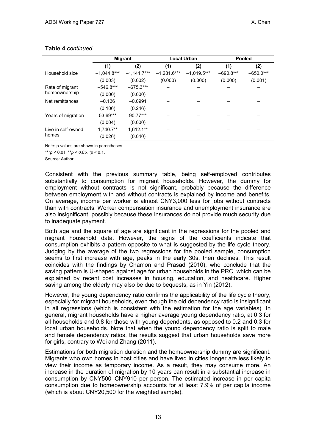|                    | <b>Migrant</b> |               | <b>Local Urban</b> |               | <b>Pooled</b> |             |
|--------------------|----------------|---------------|--------------------|---------------|---------------|-------------|
|                    | (1)            | (2)           | (1)                | (2)           | (1)           | (2)         |
| Household size     | $-1,044.8***$  | $-1,141.7***$ | $-1,281.6***$      | $-1,019.5***$ | $-690.8***$   | $-650.0***$ |
|                    | (0.003)        | (0.002)       | (0.000)            | (0.000)       | (0.000)       | (0.001)     |
| Rate of migrant    | $-546.8***$    | $-675.3***$   |                    |               |               |             |
| homeownership      | (0.000)        | (0.000)       |                    |               |               |             |
| Net remittances    | $-0.136$       | $-0.0991$     |                    |               |               |             |
|                    | (0.106)        | (0.246)       |                    |               |               |             |
| Years of migration | 53.69***       | 90.77***      |                    |               |               |             |
|                    | (0.004)        | (0.000)       |                    |               |               |             |
| Live in self-owned | 1,740.7**      | $1,612.1***$  |                    |               |               |             |
| homes              | (0.026)        | (0.040)       |                    |               |               |             |

#### **Table 4** *continued*

Note: p-values are shown in parentheses.

\*\*\**p* < 0.01, \*\**p < 0.05, \*p* < 0.1.

Source: Author.

Consistent with the previous summary table, being self-employed contributes substantially to consumption for migrant households. However, the dummy for employment without contracts is not significant, probably because the difference between employment with and without contracts is explained by income and benefits. On average, income per worker is almost CNY3,000 less for jobs without contracts than with contracts. Worker compensation insurance and unemployment insurance are also insignificant, possibly because these insurances do not provide much security due to inadequate payment.

Both age and the square of age are significant in the regressions for the pooled and migrant household data. However, the signs of the coefficients indicate that consumption exhibits a pattern opposite to what is suggested by the life cycle theory. Judging by the average of the two regressions for the pooled sample, consumption seems to first increase with age, peaks in the early 30s, then declines. This result coincides with the findings by Chamon and Prasad (2010), who conclude that the saving pattern is U-shaped against age for urban households in the PRC, which can be explained by recent cost increases in housing, education, and healthcare. Higher saving among the elderly may also be due to bequests, as in Yin (2012).

However, the young dependency ratio confirms the applicability of the life cycle theory, especially for migrant households, even though the old dependency ratio is insignificant in all regressions (which is consistent with the estimation for the age variables). In general, migrant households have a higher average young dependency ratio, at 0.3 for all households and 0.8 for those with young dependents, as opposed to 0.2 and 0.3 for local urban households. Note that when the young dependency ratio is split to male and female dependency ratios, the results suggest that urban households save more for girls, contrary to Wei and Zhang (2011).

Estimations for both migration duration and the homeownership dummy are significant. Migrants who own homes in host cities and have lived in cities longer are less likely to view their income as temporary income. As a result, they may consume more. An increase in the duration of migration by 10 years can result in a substantial increase in consumption by CNY500–CNY910 per person. The estimated increase in per capita consumption due to homeownership accounts for at least 7.9% of per capita income (which is about CNY20,500 for the weighted sample).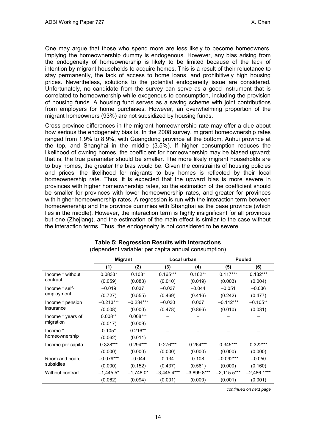One may argue that those who spend more are less likely to become homeowners, implying the homeownership dummy is endogenous. However, any bias arising from the endogeneity of homeownership is likely to be limited because of the lack of intention by migrant households to acquire homes. This is a result of their reluctance to stay permanently, the lack of access to home loans, and prohibitively high housing prices. Nevertheless, solutions to the potential endogeneity issue are considered. Unfortunately, no candidate from the survey can serve as a good instrument that is correlated to homeownership while exogenous to consumption, including the provision of housing funds. A housing fund serves as a saving scheme with joint contributions from employers for home purchases. However, an overwhelming proportion of the migrant homeowners (93%) are not subsidized by housing funds.

Cross-province differences in the migrant homeownership rate may offer a clue about how serious the endogeneity bias is. In the 2008 survey, migrant homeownership rates ranged from 1.9% to 8.9%, with Guangdong province at the bottom, Anhui province at the top, and Shanghai in the middle (3.5%). If higher consumption reduces the likelihood of owning homes, the coefficient for homeownership may be biased upward; that is, the true parameter should be smaller. The more likely migrant households are to buy homes, the greater the bias would be. Given the constraints of housing policies and prices, the likelihood for migrants to buy homes is reflected by their local homeownership rate. Thus, it is expected that the upward bias is more severe in provinces with higher homeownership rates, so the estimation of the coefficient should be smaller for provinces with lower homeownership rates, and greater for provinces with higher homeownership rates. A regression is run with the interaction term between homeownership and the province dummies with Shanghai as the base province (which lies in the middle). However, the interaction term is highly insignificant for all provinces but one (Zhejiang), and the estimation of the main effect is similar to the case without the interaction terms. Thus, the endogeneity is not considered to be severe.

|                   | <b>Migrant</b> |             |               | Local urban   |               | <b>Pooled</b> |
|-------------------|----------------|-------------|---------------|---------------|---------------|---------------|
|                   | (1)            | (2)         | (3)           | (4)           | (5)           | (6)           |
| Income * without  | $0.0833*$      | $0.103*$    | $0.165***$    | $0.162**$     | $0.117***$    | $0.132***$    |
| contract          | (0.059)        | (0.083)     | (0.010)       | (0.019)       | (0.003)       | (0.004)       |
| Income * self-    | $-0.019$       | 0.037       | $-0.037$      | $-0.044$      | $-0.051$      | $-0.036$      |
| employment        | (0.727)        | (0.555)     | (0.469)       | (0.416)       | (0.242)       | (0.477)       |
| Income * pension  | $-0.213***$    | $-0.234***$ | $-0.030$      | 0.007         | $-0.112***$   | $-0.105**$    |
| insurance         | (0.008)        | (0.000)     | (0.478)       | (0.866)       | (0.010)       | (0.031)       |
| Income * years of | $0.008**$      | $0.008***$  |               |               |               |               |
| migration         | (0.017)        | (0.009)     |               |               |               |               |
| Income *          | $0.105*$       | $0.216**$   |               |               |               |               |
| homeownership     | (0.062)        | (0.011)     |               |               |               |               |
| Income per capita | $0.328***$     | $0.294***$  | $0.276***$    | $0.264***$    | $0.345***$    | $0.322***$    |
|                   | (0.000)        | (0.000)     | (0.000)       | (0.000)       | (0.000)       | (0.000)       |
| Room and board    | $-0.079***$    | $-0.044$    | 0.134         | 0.108         | $-0.092***$   | $-0.050$      |
| subsidies         | (0.000)        | (0.152)     | (0.437)       | (0.561)       | (0.000)       | (0.160)       |
| Without contract  | $-1,445.5*$    | $-1,748.0*$ | $-3,445.4***$ | $-3,899.8***$ | $-2,115.5***$ | $-2,486.1***$ |
|                   | (0.062)        | (0.094)     | (0.001)       | (0.000)       | (0.001)       | (0.001)       |

#### **Table 5: Regression Results with Interactions** (dependent variable: per capita annual consumption)

*continued on next page*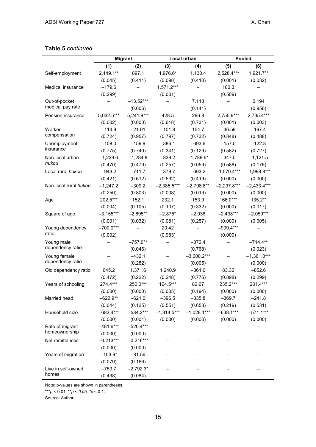### **Table 5** *continued*

|                       |              | <b>Migrant</b> | Local urban   |               |               | Pooled        |
|-----------------------|--------------|----------------|---------------|---------------|---------------|---------------|
|                       | (1)          | (2)            | (3)           | (4)           | (5)           | (6)           |
| Self-employment       | $2,149.1***$ | 897.1          | 1,976.6*      | 1,130.4       | 2,528.4***    | 1,921.7**     |
|                       | (0.045)      | (0.411)        | (0.098)       | (0.410)       | (0.001)       | (0.032)       |
| Medical insurance     | $-179.6$     |                | $1,571.2***$  |               | 100.3         |               |
|                       | (0.299)      |                | (0.001)       |               | (0.509)       |               |
| Out-of-pocket         |              | $-13.52***$    |               | 7.118         |               | 0.194         |
| medical pay rate      |              | (0.006)        |               | (0.141)       |               | (0.956)       |
| Pension insurance     | $5,032.5***$ | $5,241.9***$   | 428.5         | 296.8         | 2,755.9***    | 2,735.4***    |
|                       | (0.002)      | (0.000)        | (0.618)       | (0.731)       | (0.001)       | (0.003)       |
| Worker                | $-114.9$     | $-21.01$       | $-101.8$      | 154.7         | $-46.59$      | $-197.4$      |
| compensation          | (0.724)      | (0.957)        | (0.797)       | (0.732)       | (0.848)       | (0.488)       |
| Unemployment          | $-108.0$     | $-159.9$       | $-386.1$      | $-693.6$      | $-157.5$      | $-122.8$      |
| insurance             | (0.775)      | (0.740)        | (0.341)       | (0.129)       | (0.582)       | (0.727)       |
| Non-local urban       | $-1,229.6$   | $-1,284.8$     | $-838.2$      | $-1,789.6*$   | $-347.5$      | $-1,121.5$    |
| hukou                 | (0.470)      | (0.479)        | (0.257)       | (0.059)       | (0.588)       | (0.176)       |
| Local rural hukou     | $-943.2$     | $-711.7$       | $-379.7$      | $-693.2$      | $-1,570.4***$ | $-1,998.8***$ |
|                       | (0.421)      | (0.612)        | (0.592)       | (0.419)       | (0.000)       | (0.000)       |
| Non-local rural hukou | $-1,247.2$   | $-309.2$       | $-2,385.5***$ | $-2,798.8**$  | $-2,297.8***$ | $-2,433.4***$ |
|                       | (0.250)      | (0.803)        | (0.008)       | (0.019)       | (0.000)       | (0.000)       |
| Age                   | 202.5***     | 152.1          | 232.1         | 153.9         | 166.0***      | 135.2**       |
|                       | (0.004)      | (0.105)        | (0.107)       | (0.332)       | (0.000)       | (0.017)       |
| Square of age         | $-3.155***$  | $-2.695**$     | $-2.875*$     | $-2.038$      | $-2.438***$   | $-2.059***$   |
|                       | (0.001)      | (0.032)        | (0.081)       | (0.257)       | (0.000)       | (0.005)       |
| Young dependency      | $-700.0***$  |                | 20.42         |               | $-909.4***$   |               |
| ratio                 | (0.002)      |                | (0.983)       |               | (0.000)       |               |
| Young male            |              | $-757.0**$     |               | $-372.4$      |               | $-714.4**$    |
| dependency ratio      |              | (0.046)        |               | (0.768)       |               | (0.023)       |
| Young female          |              | $-432.1$       |               | $-3,600.2***$ |               | $-1,361.0***$ |
| dependency ratio      |              | (0.282)        |               | (0.005)       |               | (0.000)       |
| Old dependency ratio  | 645.2        | 1,371.6        | 1,240.9       | $-361.6$      | 83.32         | $-852.6$      |
|                       | (0.472)      | (0.222)        | (0.248)       | (0.776)       | (0.898)       | (0.299)       |
| Years of schooling    | 274.4***     | 250.0***       | 164.5***      | 82.67         | 235.2***      | 201.4***      |
|                       | (0.000)      | (0.000)        | (0.005)       | (0.194)       | (0.000)       | (0.000)       |
| Married head          | $-622.9**$   | $-621.0$       | $-396.5$      | $-335.8$      | $-369.7$      | $-241.8$      |
|                       | (0.044)      | (0.125)        | (0.551)       | (0.653)       | (0.219)       | (0.531)       |
| Household size        | $-683.4***$  | $-584.2***$    | $-1,314.5***$ | $-1,028.1***$ | $-638.1***$   | $-571.1***$   |
|                       | (0.000)      | (0.001)        | (0.000)       | (0.000)       | (0.000)       | (0.000)       |
| Rate of migrant       | $-481.6***$  | $-520.4***$    |               |               |               |               |
| homeownership         | (0.000)      | (0.000)        |               |               |               |               |
| Net remittances       | $-0.213***$  | $-0.216***$    |               |               |               |               |
|                       | (0.000)      | (0.000)        |               |               |               |               |
| Years of migration    | $-103.9*$    | $-81.56$       |               |               |               |               |
|                       | (0.079)      | (0.166)        |               |               |               |               |
| Live in self-owned    | $-759.7$     | $-2,792.3*$    |               |               |               |               |
| homes                 | (0.438)      | (0.084)        |               |               |               |               |

Note: p-values are shown in parentheses.

\*\*\**p* < 0.01, \*\**p < 0.05, \*p* < 0.1.

Source: Author.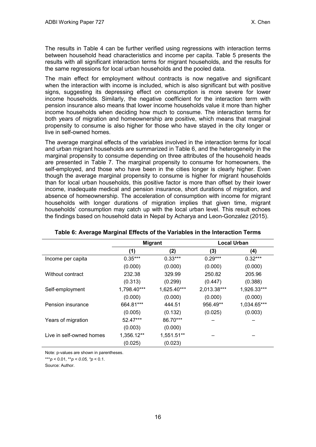The results in Table 4 can be further verified using regressions with interaction terms between household head characteristics and income per capita. Table 5 presents the results with all significant interaction terms for migrant households, and the results for the same regressions for local urban households and the pooled data.

The main effect for employment without contracts is now negative and significant when the interaction with income is included, which is also significant but with positive signs, suggesting its depressing effect on consumption is more severe for lower income households. Similarly, the negative coefficient for the interaction term with pension insurance also means that lower income households value it more than higher income households when deciding how much to consume. The interaction terms for both years of migration and homeownership are positive, which means that marginal propensity to consume is also higher for those who have stayed in the city longer or live in self-owned homes.

The average marginal effects of the variables involved in the interaction terms for local and urban migrant households are summarized in Table 6, and the heterogeneity in the marginal propensity to consume depending on three attributes of the household heads are presented in Table 7. The marginal propensity to consume for homeowners, the self-employed, and those who have been in the cities longer is clearly higher. Even though the average marginal propensity to consume is higher for migrant households than for local urban households, this positive factor is more than offset by their lower income, inadequate medical and pension insurance, short durations of migration, and absence of homeownership. The acceleration of consumption with income for migrant households with longer durations of migration implies that given time, migrant households' consumption may catch up with the local urban level. This result echoes the findings based on household data in Nepal by Acharya and Leon-Gonzalez (2015).

|                          | <b>Migrant</b> |             | <b>Local Urban</b> |             |
|--------------------------|----------------|-------------|--------------------|-------------|
|                          | (1)            | (2)         | (3)                | (4)         |
| Income per capita        | $0.35***$      | $0.33***$   | $0.29***$          | $0.32***$   |
|                          | (0.000)        | (0.000)     | (0.000)            | (0.000)     |
| Without contract         | 232.38         | 329.99      | 250.82             | 205.96      |
|                          | (0.313)        | (0.299)     | (0.447)            | (0.388)     |
| Self-employment          | 1,798.40***    | 1,625.40*** | 2,013.38***        | 1,926.33*** |
|                          | (0.000)        | (0.000)     | (0.000)            | (0.000)     |
| Pension insurance        | 664.81***      | 444.51      | 956.49**           | 1,034.65*** |
|                          | (0.005)        | (0.132)     | (0.025)            | (0.003)     |
| Years of migration       | 52.47***       | 86.70***    |                    |             |
|                          | (0.003)        | (0.000)     |                    |             |
| Live in self-owned homes | 1,356.12**     | 1,551.51**  |                    |             |
|                          | (0.025)        | (0.023)     |                    |             |

**Table 6: Average Marginal Effects of the Variables in the Interaction Terms**

Note: p-values are shown in parentheses.

\*\*\**p* < 0.01, \*\**p* < 0.05, \**p* < 0.1.

Source: Author.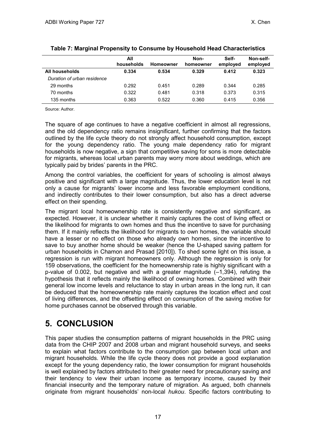|                             | All        |                  | Non-      | Self-    | Non-self- |
|-----------------------------|------------|------------------|-----------|----------|-----------|
|                             | households | <b>Homeowner</b> | homeowner | employed | employed  |
| All households              | 0.334      | 0.534            | 0.329     | 0.412    | 0.323     |
| Duration of urban residence |            |                  |           |          |           |
| 29 months                   | 0.292      | 0.451            | 0.289     | 0.344    | 0.285     |
| 70 months                   | 0.322      | 0.481            | 0.318     | 0.373    | 0.315     |
| 135 months                  | 0.363      | 0.522            | 0.360     | 0.415    | 0.356     |

#### **Table 7: Marginal Propensity to Consume by Household Head Characteristics**

Source: Author.

The square of age continues to have a negative coefficient in almost all regressions, and the old dependency ratio remains insignificant, further confirming that the factors outlined by the life cycle theory do not strongly affect household consumption, except for the young dependency ratio. The young male dependency ratio for migrant households is now negative, a sign that competitive saving for sons is more detectable for migrants, whereas local urban parents may worry more about weddings, which are typically paid by brides' parents in the PRC.

Among the control variables, the coefficient for years of schooling is almost always positive and significant with a large magnitude. Thus, the lower education level is not only a cause for migrants' lower income and less favorable employment conditions, and indirectly contributes to their lower consumption, but also has a direct adverse effect on their spending.

The migrant local homeownership rate is consistently negative and significant, as expected. However, it is unclear whether it mainly captures the cost of living effect or the likelihood for migrants to own homes and thus the incentive to save for purchasing them. If it mainly reflects the likelihood for migrants to own homes, the variable should have a lesser or no effect on those who already own homes, since the incentive to save to buy another home should be weaker (hence the U-shaped saving pattern for urban households in Chamon and Prasad [2010]). To shed some light on this issue, a regression is run with migrant homeowners only. Although the regression is only for 159 observations, the coefficient for the homeownership rate is highly significant with a p*-*value of 0.002, but negative and with a greater magnitude (–1,394), refuting the hypothesis that it reflects mainly the likelihood of owning homes. Combined with their general low income levels and reluctance to stay in urban areas in the long run, it can be deduced that the homeownership rate mainly captures the location effect and cost of living differences, and the offsetting effect on consumption of the saving motive for home purchases cannot be observed through this variable.

## <span id="page-20-0"></span>**5. CONCLUSION**

This paper studies the consumption patterns of migrant households in the PRC using data from the CHIP 2007 and 2008 urban and migrant household surveys, and seeks to explain what factors contribute to the consumption gap between local urban and migrant households. While the life cycle theory does not provide a good explanation except for the young dependency ratio, the lower consumption for migrant households is well explained by factors attributed to their greater need for precautionary saving and their tendency to view their urban income as temporary income, caused by their financial insecurity and the temporary nature of migration. As argued, both channels originate from migrant households' non-local *hukou*. Specific factors contributing to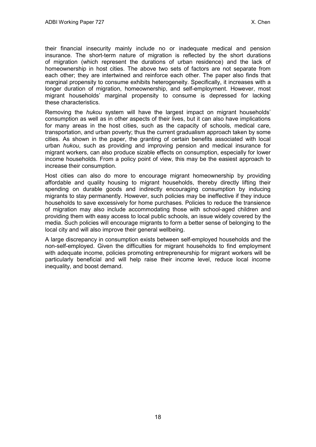their financial insecurity mainly include no or inadequate medical and pension insurance. The short-term nature of migration is reflected by the short durations of migration (which represent the durations of urban residence) and the lack of homeownership in host cities. The above two sets of factors are not separate from each other; they are intertwined and reinforce each other. The paper also finds that marginal propensity to consume exhibits heterogeneity. Specifically, it increases with a longer duration of migration, homeownership, and self-employment. However, most migrant households' marginal propensity to consume is depressed for lacking these characteristics.

Removing the *hukou* system will have the largest impact on migrant households' consumption as well as in other aspects of their lives, but it can also have implications for many areas in the host cities, such as the capacity of schools, medical care, transportation, and urban poverty; thus the current gradualism approach taken by some cities. As shown in the paper, the granting of certain benefits associated with local urban *hukou*, such as providing and improving pension and medical insurance for migrant workers, can also produce sizable effects on consumption, especially for lower income households. From a policy point of view, this may be the easiest approach to increase their consumption.

Host cities can also do more to encourage migrant homeownership by providing affordable and quality housing to migrant households, thereby directly lifting their spending on durable goods and indirectly encouraging consumption by inducing migrants to stay permanently. However, such policies may be ineffective if they induce households to save excessively for home purchases. Policies to reduce the transience of migration may also include accommodating those with school-aged children and providing them with easy access to local public schools, an issue widely covered by the media. Such policies will encourage migrants to form a better sense of belonging to the local city and will also improve their general wellbeing.

A large discrepancy in consumption exists between self-employed households and the non-self-employed. Given the difficulties for migrant households to find employment with adequate income, policies promoting entrepreneurship for migrant workers will be particularly beneficial and will help raise their income level, reduce local income inequality, and boost demand.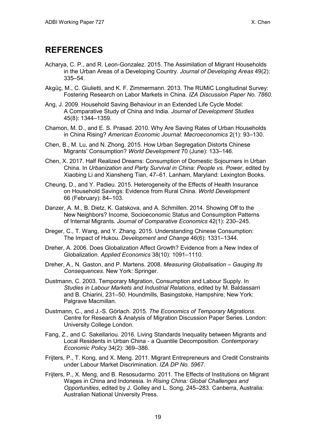### <span id="page-22-0"></span>**REFERENCES**

- Acharya, C. P., and R. Leon-Gonzalez. 2015. The Assimilation of Migrant Households in the Urban Areas of a Developing Country. *Journal of Developing Areas* 49(2): 335–54.
- Akgüç, M., C. Giulietti, and K. F. Zimmermann. 2013. The RUMiC Longitudinal Survey: Fostering Research on Labor Markets in China. *IZA Discussion Paper No. 7860*.
- Ang, J. 2009. Household Saving Behaviour in an Extended Life Cycle Model: A Comparative Study of China and India. *Journal of Development Studies* 45(8): 1344–1359.
- Chamon, M. D., and E. S. Prasad. 2010. Why Are Saving Rates of Urban Households in China Rising? *American Economic Journal: Macroeconomics* 2(1): 93–130.
- Chen, B., M. Lu, and N. Zhong. 2015. How Urban Segregation Distorts Chinese Migrants' Consumption? *World Development* 70 (June): 133–146.
- Chen, X. 2017. Half Realized Dreams: Consumption of Domestic Sojourners in Urban China. In *Urbanization and Party Survival in China: People vs. Power*, edited by Xiaobing Li and Xiansheng Tian, 47–61. Lanham, Maryland: Lexington Books.
- Cheung, D., and Y. Padieu. 2015. Heterogeneity of the Effects of Health Insurance on Household Savings: Evidence from Rural China. *World Development* 66 (February): 84–103.
- Danzer, A. M., B. Dietz, K. Gatskova, and A. Schmillen. 2014. Showing Off to the New Neighbors? Income, Socioeconomic Status and Consumption Patterns of Internal Migrants. *Journal of Comparative Economics* 42(1): 230–245.
- Dreger, C., T. Wang, and Y. Zhang. 2015. Understanding Chinese Consumption: The Impact of Hukou. *Development and Change* 46(6): 1331–1344.
- Dreher, A. 2006. Does Globalization Affect Growth? Evidence from a New Index of Globalization. *Applied Economics* 38(10): 1091–1110.
- Dreher, A., N. Gaston, and P. Martens. 2008. *Measuring Globalisation – Gauging Its Consequences*. New York: Springer.
- Dustmann, C. 2003. Temporary Migration, Consumption and Labour Supply. In *Studies in Labour Markets and Industrial Relations*, edited by M. Baldassarri and B. Chiarini, 231–50. Houndmills, Basingstoke, Hampshire; New York: Palgrave Macmillan.
- Dustmann, C., and J.-S. Görlach. 2015. *The Economics of Temporary Migrations*. Centre for Research & Analysis of Migration Discussion Paper Series. London: University College London.
- Fang, Z., and C. Sakellariou. 2016. Living Standards Inequality between Migrants and Local Residents in Urban China - a Quantile Decomposition. *Contemporary Economic Policy* 34(2): 369–386.
- Frijters, P., T. Kong, and X. Meng. 2011. Migrant Entrepreneurs and Credit Constraints under Labour Market Discrimination. *IZA DP No. 5967*.
- Frijters, P., X. Meng, and B. Resosudarmo. 2011. The Effects of Institutions on Migrant Wages in China and Indonesia. In *Rising China: Global Challenges and Opportunities*, edited by J. Golley and L. Song, 245–283. Canberra, Australia: Australian National University Press.